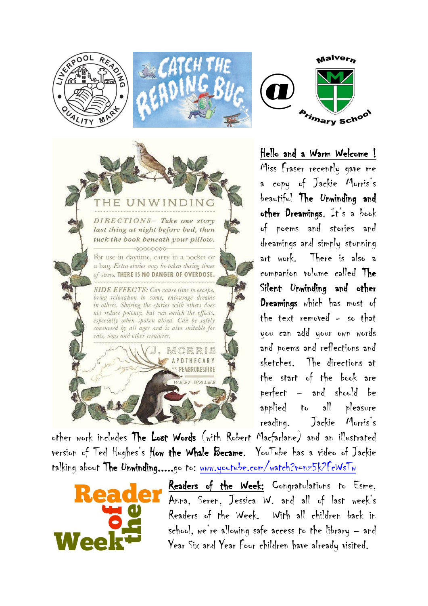



DIRECTIONS- Take one story last thing at night before bed, then tuck the book beneath your pillow.  $-00000000$ For use in daytime, carry in a pocket or a bag. Extra stories may be taken during times of stress. THERE IS NO DANGER OF OVERDOSE.

**SIDE EFFECTS:** Can cause time to escape. bring relaxation to some, encourage dreams in others. Sharing the stories with others does not reduce potency, but can enrich the effects, especially when spoken aloud. Can be safely consumed by all ages and is also suitable for

cats, dogs and other creatures.



Hello and a Warm Welcome ! Miss Fraser recently gave me a copy of Jackie Morris's beautiful The Unwinding and other Dreamings. It's a book of poems and stories and dreamings and simply stunning art work. There is also a companion volume called The Silent Unwinding and other Dreamings which has most of the text removed – so that you can add your own words and poems and reflections and sketches. The directions at the start of the book are perfect – and should be applied to all pleasure reading. Jackie Morris's

other work includes The Lost Words (with Robert Macfarlane) and an illustrated version of Ted Hughes's How the Whale Became. YouTube has a video of Jackie talking about The Unwinding.....go to: [www.youtube.com/watch?v=nz5k2FcWsTw](http://www.youtube.com/watch?v=nz5k2FcWsTw)

MORRIS POTHECARY <sup>27.</sup> PEMBROKESHIRE WEST WALES



Readers of the Week: Congratulations to Esme, Anna, Seren, Jessica W. and all of last week's Readers of the Week. With all children back in school, we're allowing safe access to the library – and Year Six and Year Four children have already visited.